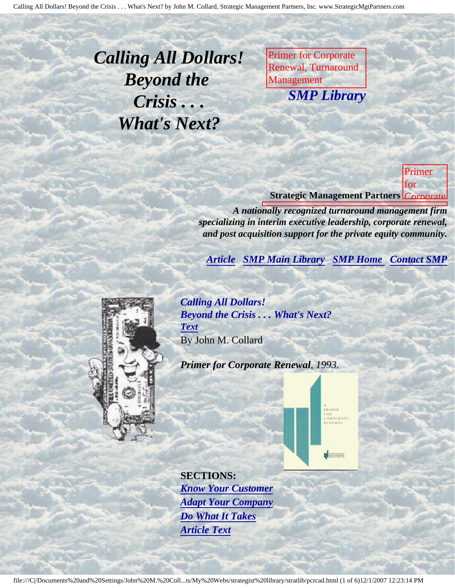<span id="page-0-3"></span><span id="page-0-2"></span>*Calling All Dollars! Beyond the Crisis . . . What's Next?*

Primer for Corporate Renewal, Turnaround Management **SMP Librar** *SMP Library*

M. Collard, Strategic Management Partners,

Inc., published by

Corporate Renewal,

Newsletter of the Control of

Turnaround *Management Street, Street* 

Primer for

Association,

Management

M.

Collard, Strategic

Partners,

published

Newsletter

Corporate Renewal, Turnaround and Management Association

Inc.,

by

**Strategic Management Partners** Corporate

Renewal, *A nationally recognized turnaround management firm specializing in interim executive leadership, corporate renewal,* and post acquisition support for the private equity community.

**[Article](#page-0-0) [SMP Main Library](http://members.aol.com/strategist/library.html#TOP) [SMP Home](http://members.aol.com/strategist/home.html#TOP) [Contact SMP](#page-4-0)** 

<span id="page-0-1"></span><span id="page-0-0"></span>

*Calling All Dollars! Beyond the Crisis . . . What's Next? [Text](#page-1-0)* By John M. Collard

*Primer for Corporate Renewal, 1993.*



**SECTIONS:** *[Know Your Customer](#page-2-0) [Adapt Your Company](#page-2-1) [Do What It Takes](#page-3-0) [Article Text](#page-1-0)*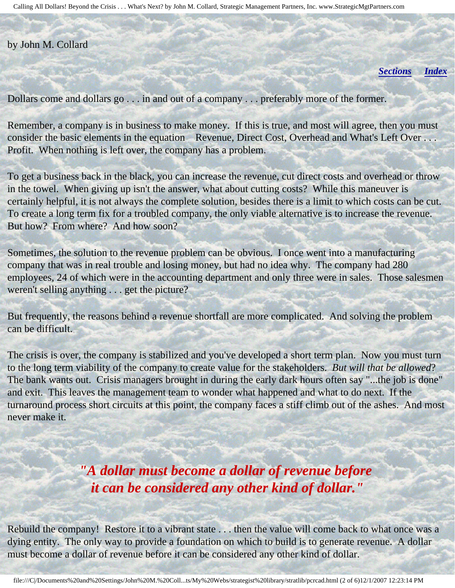#### <span id="page-1-0"></span>by John M. Collard

*[Sections](#page-0-1) [Index](#page-0-2)*

Dollars come and dollars go . . . in and out of a company . . . preferably more of the former.

Remember, a company is in business to make money. If this is true, and most will agree, then you must consider the basic elements in the equation Revenue, Direct Cost, Overhead and What's Left Over . . . Profit. When nothing is left over, the company has a problem.

To get a business back in the black, you can increase the revenue, cut direct costs and overhead or throw in the towel. When giving up isn't the answer, what about cutting costs? While this maneuver is certainly helpful, it is not always the complete solution, besides there is a limit to which costs can be cut. To create a long term fix for a troubled company, the only viable alternative is to increase the revenue. But how? From where? And how soon?

Sometimes, the solution to the revenue problem can be obvious. I once went into a manufacturing company that was in real trouble and losing money, but had no idea why. The company had 280 employees, 24 of which were in the accounting department and only three were in sales. Those salesmen weren't selling anything . . . get the picture?

But frequently, the reasons behind a revenue shortfall are more complicated. And solving the problem can be difficult.

The crisis is over, the company is stabilized and you've developed a short term plan. Now you must turn to the long term viability of the company to create value for the stakeholders. *But will that be allowed*? The bank wants out. Crisis managers brought in during the early dark hours often say "...the job is done" and exit. This leaves the management team to wonder what happened and what to do next. If the turnaround process short circuits at this point, the company faces a stiff climb out of the ashes. And most never make it.

> *"A dollar must become a dollar of revenue before it can be considered any other kind of dollar."*

Rebuild the company! Restore it to a vibrant state . . . then the value will come back to what once was a dying entity. The only way to provide a foundation on which to build is to generate revenue. A dollar must become a dollar of revenue before it can be considered any other kind of dollar.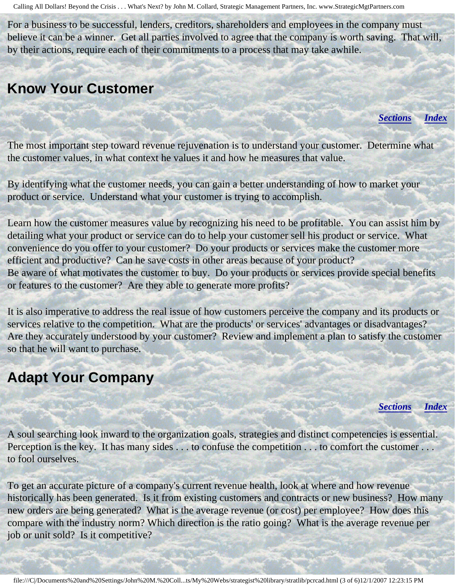For a business to be successful, lenders, creditors, shareholders and employees in the company must believe it can be a winner. Get all parties involved to agree that the company is worth saving. That will, by their actions, require each of their commitments to a process that may take awhile.

#### <span id="page-2-0"></span>**Know Your Customer**

*[Sections](#page-0-1) [Index](#page-0-2)*

The most important step toward revenue rejuvenation is to understand your customer. Determine what the customer values, in what context he values it and how he measures that value.

By identifying what the customer needs, you can gain a better understanding of how to market your product or service. Understand what your customer is trying to accomplish.

Learn how the customer measures value by recognizing his need to be profitable. You can assist him by detailing what your product or service can do to help your customer sell his product or service. What convenience do you offer to your customer? Do your products or services make the customer more efficient and productive? Can he save costs in other areas because of your product? Be aware of what motivates the customer to buy. Do your products or services provide special benefits or features to the customer? Are they able to generate more profits?

It is also imperative to address the real issue of how customers perceive the company and its products or services relative to the competition. What are the products' or services' advantages or disadvantages? Are they accurately understood by your customer? Review and implement a plan to satisfy the customer so that he will want to purchase.

# <span id="page-2-1"></span>**Adapt Your Company**

*[Sections](#page-0-1) [Index](#page-0-2)*

A soul searching look inward to the organization goals, strategies and distinct competencies is essential. Perception is the key. It has many sides . . . to confuse the competition . . . to comfort the customer . . . to fool ourselves.

To get an accurate picture of a company's current revenue health, look at where and how revenue historically has been generated. Is it from existing customers and contracts or new business? How many new orders are being generated? What is the average revenue (or cost) per employee? How does this compare with the industry norm? Which direction is the ratio going? What is the average revenue per job or unit sold? Is it competitive?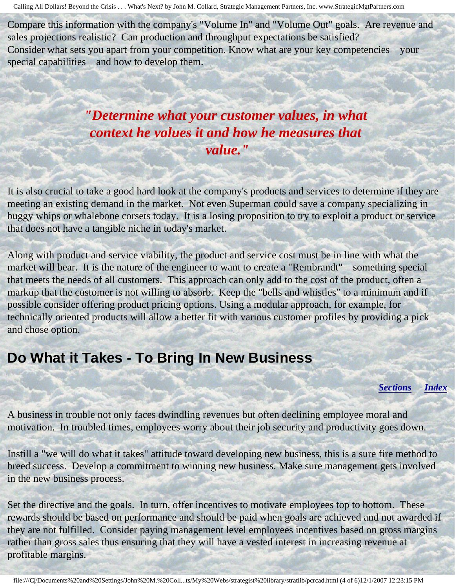Compare this information with the company's "Volume In" and "Volume Out" goals. Are revenue and sales projections realistic? Can production and throughput expectations be satisfied? Consider what sets you apart from your competition. Know what are your key competencies your special capabilities and how to develop them.

# *"Determine what your customer values, in what context he values it and how he measures that value."*

It is also crucial to take a good hard look at the company's products and services to determine if they are meeting an existing demand in the market. Not even Superman could save a company specializing in buggy whips or whalebone corsets today. It is a losing proposition to try to exploit a product or service that does not have a tangible niche in today's market.

Along with product and service viability, the product and service cost must be in line with what the market will bear. It is the nature of the engineer to want to create a "Rembrandt" something special that meets the needs of all customers. This approach can only add to the cost of the product, often a markup that the customer is not willing to absorb. Keep the "bells and whistles" to a minimum and if possible consider offering product pricing options. Using a modular approach, for example, for technically oriented products will allow a better fit with various customer profiles by providing a pick and chose option.

# <span id="page-3-0"></span>**Do What it Takes - To Bring In New Business**

*[Sections](#page-0-1) [Index](#page-0-2)*

A business in trouble not only faces dwindling revenues but often declining employee moral and motivation. In troubled times, employees worry about their job security and productivity goes down.

Instill a "we will do what it takes" attitude toward developing new business, this is a sure fire method to breed success. Develop a commitment to winning new business. Make sure management gets involved in the new business process.

Set the directive and the goals. In turn, offer incentives to motivate employees top to bottom. These rewards should be based on performance and should be paid when goals are achieved and not awarded if they are not fulfilled. Consider paying management level employees incentives based on gross margins rather than gross sales thus ensuring that they will have a vested interest in increasing revenue at profitable margins.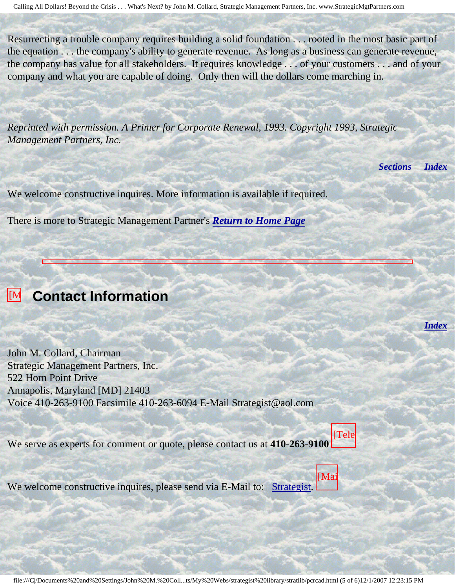Resurrecting a trouble company requires building a solid foundation . . . rooted in the most basic part of the equation . . . the company's ability to generate revenue. As long as a business can generate revenue, the company has value for all stakeholders. It requires knowledge . . . of your customers . . . and of your company and what you are capable of doing. Only then will the dollars come marching in.

*Reprinted with permission. A Primer for Corporate Renewal, 1993. Copyright 1993, Strategic Management Partners, Inc.*

*[Sections](#page-0-1) [Index](#page-0-2)*

*[Index](#page-0-2)*

We welcome constructive inquires. More information is available if required.

There is more to Strategic Management Partner's *[Return to Home Page](http://members.aol.com/strategist/home.html#TOP)*

#### <span id="page-4-0"></span>**[M]** Contact Information

John M. Collard, Chairman Strategic Management Partners, Inc. 522 Horn Point Drive Annapolis, Maryland [MD] 21403 Voice 410-263-9100 Facsimile 410-263-6094 E-Mail Strategist@aol.com

We serve as experts for comment or quote, please contact us at **410-263-9100** [Tele

We welcome constructive inquires, please send via E-Mail to: [Strategist.](mailto:Strategist@aol.com (library pcrcad))

[Mai